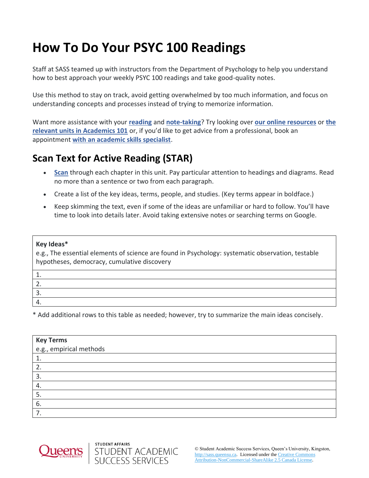# **How To Do Your PSYC 100 Readings**

Staff at SASS teamed up with instructors from the Department of Psychology to help you understand how to best approach your weekly PSYC 100 readings and take good-quality notes.

Use this method to stay on track, avoid getting overwhelmed by too much information, and focus on understanding concepts and processes instead of trying to memorize information.

Want more assistance with your **[reading](https://wp3-dev.its.queensu.ca/ha/sasswww/resources/reading)** and **[note-taking](https://wp3-dev.its.queensu.ca/ha/sasswww/resources/note-taking)**? Try looking over **[our online resources](https://wp3-dev.its.queensu.ca/ha/sasswww/resources)** or **[the](https://sass.queensu.ca/courses/academics-101/#/)  [relevant units in Academics 101](https://sass.queensu.ca/courses/academics-101/#/)** or, if you'd like to get advice from a professional, book an appointment **[with an academic skills specialist](https://wp3-dev.its.queensu.ca/ha/sasswww/academic-support/appointments)**.

## **Scan Text for Active Reading (STAR)**

- **[Scan](https://www.umassd.edu/dss/resources/students/classroom-strategies/how-to-skim/)** through each chapter in this unit. Pay particular attention to headings and diagrams. Read no more than a sentence or two from each paragraph.
- Create a list of the key ideas, terms, people, and studies. (Key terms appear in boldface.)
- Keep skimming the text, even if some of the ideas are unfamiliar or hard to follow. You'll have time to look into details later. Avoid taking extensive notes or searching terms on Google.

#### **Key Ideas\***

e.g., The essential elements of science are found in Psychology: systematic observation, testable hypotheses, democracy, cumulative discovery

\* Add additional rows to this table as needed; however, try to summarize the main ideas concisely.



STUDENT AFFAIRS

STUDENT ACADEMIC<br>SUCCESS SERVICES